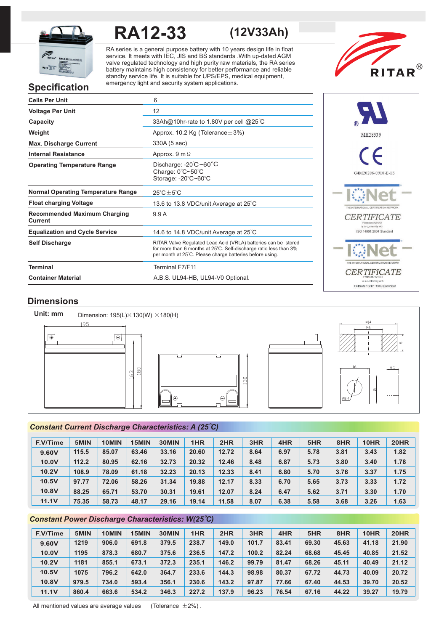

# **RA12-33 (12V33Ah)**

RA series is a general purpose battery with 10 years design life in float service. It meets with IEC, JIS and BS standards .With up-dated AGM valve regulated technology and high purity raw materials, the RA series battery maintains high consistency for better performance and reliable standby service life. It is suitable for UPS/EPS, medical equipment, emergency light and security system applications.



# **Specification**

| <b>Cells Per Unit</b>                          | 6                                                                                                                                                                                               |
|------------------------------------------------|-------------------------------------------------------------------------------------------------------------------------------------------------------------------------------------------------|
| <b>Voltage Per Unit</b>                        | 12                                                                                                                                                                                              |
| Capacity                                       | 33Ah@10hr-rate to 1.80V per cell @25°C                                                                                                                                                          |
| Weight                                         | Approx. 10.2 Kg (Tolerance $\pm$ 3%)                                                                                                                                                            |
| <b>Max. Discharge Current</b>                  | 330A (5 sec)                                                                                                                                                                                    |
| <b>Internal Resistance</b>                     | Approx. $9 \text{ m } \Omega$                                                                                                                                                                   |
| <b>Operating Temperature Range</b>             | Discharge: $-20^{\circ}$ C ~60 $^{\circ}$ C<br>Charge: 0°C~50°C<br>Storage: -20°C~60°C                                                                                                          |
| <b>Normal Operating Temperature Range</b>      | $25^{\circ}$ C + $5^{\circ}$ C                                                                                                                                                                  |
| <b>Float charging Voltage</b>                  | 13.6 to 13.8 VDC/unit Average at 25°C                                                                                                                                                           |
| <b>Recommended Maximum Charging</b><br>Current | 9.9A                                                                                                                                                                                            |
| <b>Equalization and Cycle Service</b>          | 14.6 to 14.8 VDC/unit Average at 25°C                                                                                                                                                           |
| <b>Self Discharge</b>                          | RITAR Valve Regulated Lead Acid (VRLA) batteries can be stored<br>for more than 6 months at 25°C. Self-discharge ratio less than 3%<br>per month at 25°C. Please charge batteries before using. |
| <b>Terminal</b>                                | Terminal F7/F11                                                                                                                                                                                 |
| <b>Container Material</b>                      | A.B.S. UL94-HB, UL94-V0 Optional.                                                                                                                                                               |



# **Dimensions**



# *<sup>o</sup> Constant Current Discharge Characteristics: A (25 C)*

| <b>F.V/Time</b> | 5MIN  | 10MIN | 15MIN | 30MIN | 1HR   | 2HR   | 3HR  | 4HR  | 5HR  | 8HR  | 10HR | <b>20HR</b> |
|-----------------|-------|-------|-------|-------|-------|-------|------|------|------|------|------|-------------|
| 9.60V           | 115.5 | 85.07 | 63.46 | 33.16 | 20.60 | 12.72 | 8.64 | 6.97 | 5.78 | 3.81 | 3.43 | 1.82        |
| 10.0V           | 112.2 | 80.95 | 62.16 | 32.73 | 20.32 | 12.46 | 8.48 | 6.87 | 5.73 | 3.80 | 3.40 | 1.78        |
| 10.2V           | 108.9 | 78.09 | 61.18 | 32.23 | 20.13 | 12.33 | 8.41 | 6.80 | 5.70 | 3.76 | 3.37 | 1.75        |
| 10.5V           | 97.77 | 72.06 | 58.26 | 31.34 | 19.88 | 12.17 | 8.33 | 6.70 | 5.65 | 3.73 | 3.33 | 1.72        |
| <b>10.8V</b>    | 88.25 | 65.71 | 53.70 | 30.31 | 19.61 | 12.07 | 8.24 | 6.47 | 5.62 | 3.71 | 3.30 | 1.70        |
| <b>11.1V</b>    | 75.35 | 58.73 | 48.17 | 29.16 | 19.14 | 11.58 | 8.07 | 6.38 | 5.58 | 3.68 | 3.26 | 1.63        |

# **Constant Power Discharge Characteristics: W(25°C)**

| <b>F.V/Time</b> | 5MIN  | 10MIN | 15MIN | 30MIN | 1HR   | 2HR   | 3HR   | 4HR   | 5HR   | 8HR   | 10HR  | <b>20HR</b> |
|-----------------|-------|-------|-------|-------|-------|-------|-------|-------|-------|-------|-------|-------------|
| 9.60V           | 1219  | 906.0 | 691.8 | 379.5 | 238.7 | 149.0 | 101.7 | 83.41 | 69.30 | 45.63 | 41.18 | 21.90       |
| 10.0V           | 1195  | 878.3 | 680.7 | 375.6 | 236.5 | 147.2 | 100.2 | 82.24 | 68.68 | 45.45 | 40.85 | 21.52       |
| 10.2V           | 1181  | 855.1 | 673.1 | 372.3 | 235.1 | 146.2 | 99.79 | 81.47 | 68.26 | 45.11 | 40.49 | 21.12       |
| 10.5V           | 1075  | 796.2 | 642.0 | 364.7 | 233.6 | 144.3 | 98.98 | 80.37 | 67.72 | 44.73 | 40.09 | 20.72       |
| 10.8V           | 979.5 | 734.0 | 593.4 | 356.1 | 230.6 | 143.2 | 97.87 | 77.66 | 67.40 | 44.53 | 39.70 | 20.52       |
| 11.1V           | 860.4 | 663.6 | 534.2 | 346.3 | 227.2 | 137.9 | 96.23 | 76.54 | 67.16 | 44.22 | 39.27 | 19.79       |

All mentioned values are average values (Tolerance  $\pm 2\%$ ).